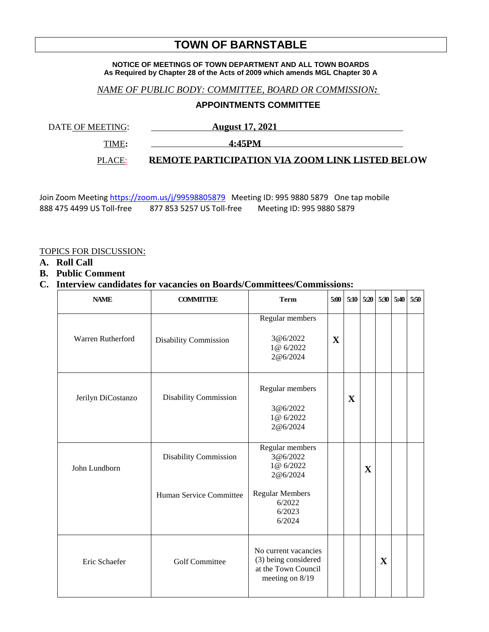# **TOWN OF BARNSTABLE**

#### **NOTICE OF MEETINGS OF TOWN DEPARTMENT AND ALL TOWN BOARDS As Required by Chapter 28 of the Acts of 2009 which amends MGL Chapter 30 A**

### *NAME OF PUBLIC BODY: COMMITTEE, BOARD OR COMMISSION:*

## **APPOINTMENTS COMMITTEE**

DATE OF MEETING: **August 17, 2021** 

TIME**: 4:45PM** 

PLACE: **REMOTE PARTICIPATION VIA ZOOM LINK LISTED BELOW**

Join Zoom Meeting <https://zoom.us/j/99598805879>Meeting ID: 995 9880 5879 One tap mobile 888 475 4499 US Toll-free 877 853 5257 US Toll-free Meeting ID: 995 9880 5879

#### TOPICS FOR DISCUSSION:

- **A. Roll Call**
- **B. Public Comment**
- **C. Interview candidates for vacancies on Boards/Committees/Commissions:**

| <b>NAME</b>        | <b>COMMITTEE</b>                                 | <b>Term</b>                                                                                                  | 5:00        | 5:10 | 5:20        | 5:30        | 5:40 | 5:50 |
|--------------------|--------------------------------------------------|--------------------------------------------------------------------------------------------------------------|-------------|------|-------------|-------------|------|------|
| Warren Rutherford  | <b>Disability Commission</b>                     | Regular members<br>3@6/2022<br>1@ 6/2022<br>2@6/2024                                                         | $\mathbf X$ |      |             |             |      |      |
| Jerilyn DiCostanzo | <b>Disability Commission</b>                     | Regular members<br>3@6/2022<br>1@ 6/2022<br>2@6/2024                                                         |             | X    |             |             |      |      |
| John Lundborn      | Disability Commission<br>Human Service Committee | Regular members<br>3@6/2022<br>1@ 6/2022<br>2@6/2024<br><b>Regular Members</b><br>6/2022<br>6/2023<br>6/2024 |             |      | $\mathbf X$ |             |      |      |
| Eric Schaefer      | <b>Golf Committee</b>                            | No current vacancies<br>(3) being considered<br>at the Town Council<br>meeting on 8/19                       |             |      |             | $\mathbf X$ |      |      |